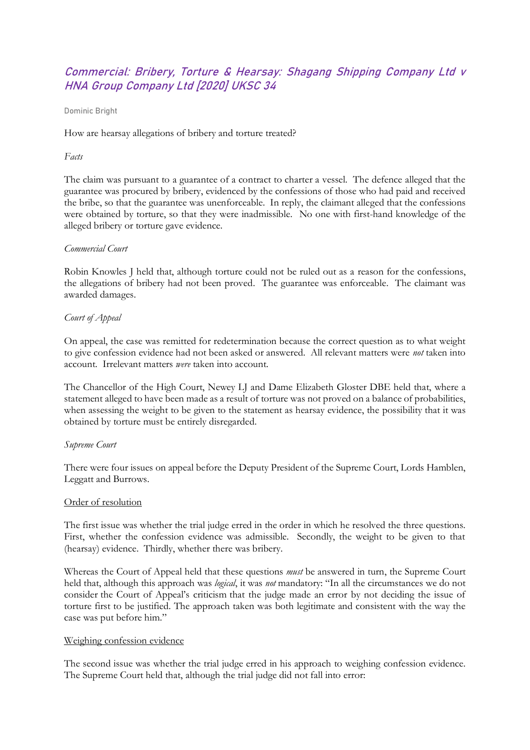# Commercial: Bribery, Torture & Hearsay: Shagang Shipping Company Ltd v HNA Group Company Ltd [2020] UKSC 34

Dominic Bright

How are hearsay allegations of bribery and torture treated?

### *Facts*

The claim was pursuant to a guarantee of a contract to charter a vessel. The defence alleged that the guarantee was procured by bribery, evidenced by the confessions of those who had paid and received the bribe, so that the guarantee was unenforceable. In reply, the claimant alleged that the confessions were obtained by torture, so that they were inadmissible. No one with first-hand knowledge of the alleged bribery or torture gave evidence.

## *Commercial Court*

Robin Knowles J held that, although torture could not be ruled out as a reason for the confessions, the allegations of bribery had not been proved. The guarantee was enforceable. The claimant was awarded damages.

## *Court of Appeal*

On appeal, the case was remitted for redetermination because the correct question as to what weight to give confession evidence had not been asked or answered. All relevant matters were *not* taken into account. Irrelevant matters *were* taken into account.

The Chancellor of the High Court, Newey LJ and Dame Elizabeth Gloster DBE held that, where a statement alleged to have been made as a result of torture was not proved on a balance of probabilities, when assessing the weight to be given to the statement as hearsay evidence, the possibility that it was obtained by torture must be entirely disregarded.

#### *Supreme Court*

There were four issues on appeal before the Deputy President of the Supreme Court, Lords Hamblen, Leggatt and Burrows.

#### Order of resolution

The first issue was whether the trial judge erred in the order in which he resolved the three questions. First, whether the confession evidence was admissible. Secondly, the weight to be given to that (hearsay) evidence. Thirdly, whether there was bribery.

Whereas the Court of Appeal held that these questions *must* be answered in turn, the Supreme Court held that, although this approach was *logical*, it was *not* mandatory: "In all the circumstances we do not consider the Court of Appeal's criticism that the judge made an error by not deciding the issue of torture first to be justified. The approach taken was both legitimate and consistent with the way the case was put before him."

#### Weighing confession evidence

The second issue was whether the trial judge erred in his approach to weighing confession evidence. The Supreme Court held that, although the trial judge did not fall into error: